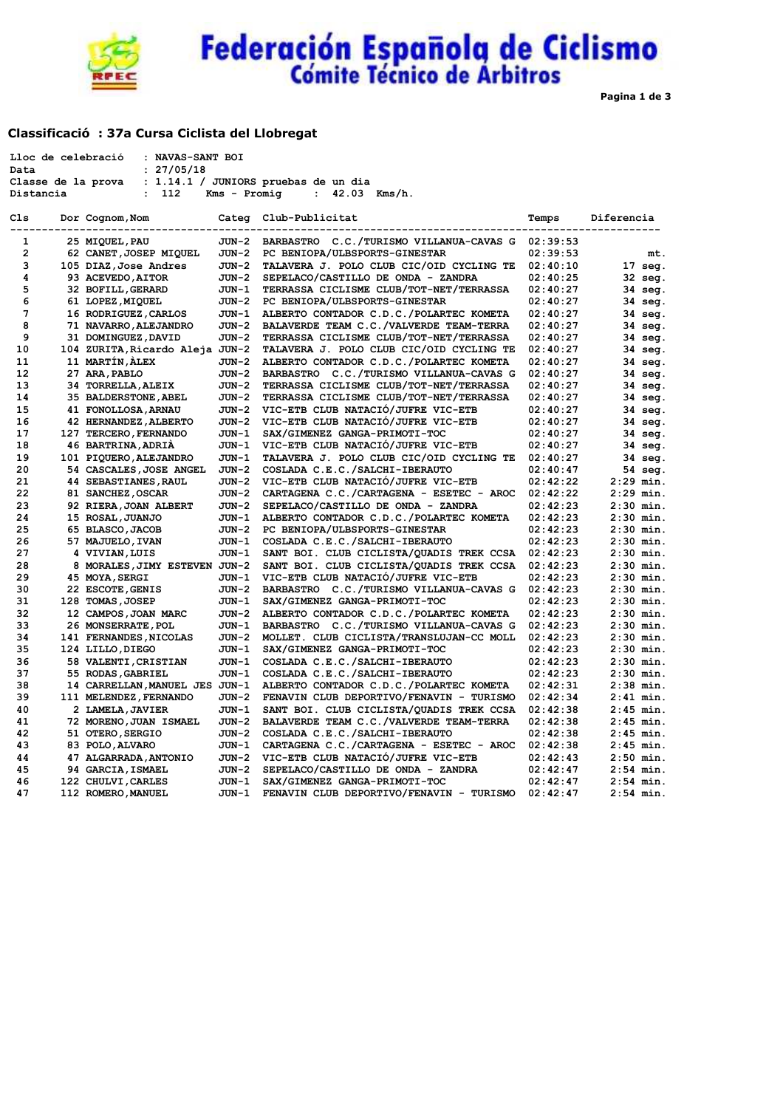

# Federación Española de Ciclismo

**Pagina 1 de 3**

## **Classificació : 37a Cursa Ciclista del Llobregat**

|                | : NAVAS-SANT BOI<br>Lloc de celebració |              |                                                  |          |                   |
|----------------|----------------------------------------|--------------|--------------------------------------------------|----------|-------------------|
| Data           | : 27/05/18                             |              |                                                  |          |                   |
|                | Classe de la prova                     |              | : 1.14.1 / JUNIORS pruebas de un dia             |          |                   |
| Distancia      | 112<br>$\ddot{\phantom{a}}$            | Kms - Promig | : $42.03$ Kms/h.                                 |          |                   |
| Cls            | Dor Cognom, Nom                        |              | Categ Club-Publicitat                            | Temps    | Diferencia        |
|                |                                        |              |                                                  |          |                   |
| $\mathbf{1}$   | 25 MIQUEL, PAU                         | JUN-2        | BARBASTRO C.C./TURISMO VILLANUA-CAVAS G 02:39:53 |          |                   |
| $\overline{2}$ | 62 CANET, JOSEP MIQUEL                 | JUN-2        | PC BENIOPA/ULBSPORTS-GINESTAR                    | 02:39:53 | mt.               |
| з              | 105 DIAZ, Jose Andres                  | JUN-2        | TALAVERA J. POLO CLUB CIC/OID CYCLING TE         | 02:40:10 | $17 \text{ seq.}$ |
| 4              | 93 ACEVEDO, AITOR                      | JUN-2        | SEPELACO/CASTILLO DE ONDA - ZANDRA               | 02:40:25 | 32 seg.           |
| 5              | 32 BOFILL, GERARD                      | JUN-1        | TERRASSA CICLISME CLUB/TOT-NET/TERRASSA          | 02:40:27 | 34 seg.           |
| 6              | 61 LOPEZ, MIQUEL                       | JUN-2        | PC BENIOPA/ULBSPORTS-GINESTAR                    | 02:40:27 | 34 seg.           |
| 7              | 16 RODRIGUEZ, CARLOS                   | JUN-1        | ALBERTO CONTADOR C.D.C./POLARTEC KOMETA          | 02:40:27 | $34 \text{ seq.}$ |
| 8              | 71 NAVARRO, ALEJANDRO                  | JUN-2        | BALAVERDE TEAM C.C./VALVERDE TEAM-TERRA          | 02:40:27 | $34 \text{ seq.}$ |
| 9              | 31 DOMINGUEZ, DAVID                    | JUN-2        | TERRASSA CICLISME CLUB/TOT-NET/TERRASSA          | 02:40:27 | $34 \text{ seq.}$ |
| 10             | 104 ZURITA, Ricardo Aleja JUN-2        |              | TALAVERA J. POLO CLUB CIC/OID CYCLING TE         | 02:40:27 | $34 \text{ seq.}$ |
| 11             | 11 MARTIN, ALEX                        | JUN-2        | ALBERTO CONTADOR C.D.C./POLARTEC KOMETA          | 02:40:27 | 34 seg.           |
| 12             | 27 ARA, PABLO                          | JUN-2        | BARBASTRO C.C./TURISMO VILLANUA-CAVAS G          | 02:40:27 | 34 seg.           |
| 13             | 34 TORRELLA, ALEIX                     | JUN-2        | TERRASSA CICLISME CLUB/TOT-NET/TERRASSA          | 02:40:27 | 34 seg.           |
| 14             | 35 BALDERSTONE, ABEL                   | JUN-2        | TERRASSA CICLISME CLUB/TOT-NET/TERRASSA          | 02:40:27 | 34 seg.           |
| 15             | 41 FONOLLOSA, ARNAU                    | JUN-2        | VIC-ETB CLUB NATACIÓ/JUFRE VIC-ETB               | 02:40:27 | 34 seg.           |
| 16             | 42 HERNANDEZ, ALBERTO                  | JUN-2        | VIC-ETB CLUB NATACIÓ/JUFRE VIC-ETB               | 02:40:27 | 34 seg.           |
| 17             | 127 TERCERO, FERNANDO                  | JUN-1        | SAX/GIMENEZ GANGA-PRIMOTI-TOC                    | 02:40:27 | $34 \text{ seq.}$ |
| 18             | 46 BARTRINA, ADRIA                     | JUN-1        | VIC-ETB CLUB NATACIÓ/JUFRE VIC-ETB               | 02:40:27 | 34 seg.           |
| 19             | 101 PIQUERO, ALEJANDRO                 | JUN-1        | TALAVERA J. POLO CLUB CIC/OID CYCLING TE         | 02:40:27 | 34 seg.           |
| 20             | 54 CASCALES, JOSE ANGEL                | JUN-2        | COSLADA C.E.C./SALCHI-IBERAUTO                   | 02:40:47 | 54 seg.           |
| 21             | 44 SEBASTIANES, RAUL                   | JUN-2        | VIC-ETB CLUB NATACIÓ/JUFRE VIC-ETB               | 02:42:22 | $2:29$ min.       |
| 22             | 81 SANCHEZ, OSCAR                      | JUN-2        | CARTAGENA C.C./CARTAGENA - ESETEC - AROC         | 02:42:22 | $2:29$ min.       |
| 23             | 92 RIERA, JOAN ALBERT                  | JUN-2        | SEPELACO/CASTILLO DE ONDA - ZANDRA               | 02:42:23 | $2:30$ min.       |
| 24             | 15 ROSAL, JUANJO                       | JUN-1        | ALBERTO CONTADOR C.D.C./POLARTEC KOMETA          | 02:42:23 | $2:30$ min.       |
| 25             | 65 BLASCO, JACOB                       | JUN-2        | PC BENIOPA/ULBSPORTS-GINESTAR                    | 02:42:23 | $2:30$ min.       |
| 26             | 57 MAJUELO, IVAN                       | JUN-1        | COSLADA C.E.C./SALCHI-IBERAUTO                   | 02:42:23 | $2:30$ min.       |
| 27             | 4 VIVIAN, LUIS                         | JUN-1        | SANT BOI. CLUB CICLISTA/QUADIS TREK CCSA         | 02:42:23 | $2:30$ min.       |
| 28             | 8 MORALES, JIMY ESTEVEN JUN-2          |              | SANT BOI. CLUB CICLISTA/QUADIS TREK CCSA         | 02:42:23 | $2:30$ min.       |
| 29             | 45 MOYA, SERGI                         | JUN-1        | VIC-ETB CLUB NATACIÓ/JUFRE VIC-ETB               | 02:42:23 | $2:30$ min.       |
| 30             | 22 ESCOTE, GENIS                       | JUN-2        | BARBASTRO C.C./TURISMO VILLANUA-CAVAS G          | 02:42:23 | $2:30$ min.       |
| 31             | 128 TOMAS, JOSEP                       | JUN-1        | SAX/GIMENEZ GANGA-PRIMOTI-TOC                    | 02:42:23 | $2:30$ min.       |
| 32             | 12 CAMPOS, JOAN MARC                   | JUN-2        | ALBERTO CONTADOR C.D.C./POLARTEC KOMETA          | 02:42:23 | $2:30$ min.       |
| 33             | 26 MONSERRATE, POL                     | JUN-1        | BARBASTRO C.C./TURISMO VILLANUA-CAVAS G          | 02:42:23 | $2:30$ min.       |
| 34             | 141 FERNANDES, NICOLAS                 | JUN-2        | MOLLET. CLUB CICLISTA/TRANSLUJAN-CC MOLL         | 02:42:23 | $2:30$ min.       |
| 35             | 124 LILLO, DIEGO                       | JUN-1        | SAX/GIMENEZ GANGA-PRIMOTI-TOC                    | 02:42:23 | $2:30$ min.       |
| 36             | 58 VALENTI, CRISTIAN                   | JUN-1        | COSLADA C.E.C./SALCHI-IBERAUTO                   | 02:42:23 | $2:30$ min.       |
| 37             | 55 RODAS, GABRIEL                      | JUN-1        | COSLADA C.E.C./SALCHI-IBERAUTO                   | 02:42:23 | $2:30$ min.       |
| 38             | 14 CARRELLAN, MANUEL JES JUN-1         |              | ALBERTO CONTADOR C.D.C./POLARTEC KOMETA          | 02:42:31 | $2:38$ min.       |
| 39             | 111 MELENDEZ, FERNANDO                 | JUN-2        | FENAVIN CLUB DEPORTIVO/FENAVIN - TURISMO         | 02:42:34 | $2:41$ min.       |
| 40             | 2 LAMELA, JAVIER                       | JUN-1        | SANT BOI. CLUB CICLISTA/QUADIS TREK CCSA         | 02:42:38 | $2:45$ min.       |
| 41             | 72 MORENO, JUAN ISMAEL                 | JUN-2        | BALAVERDE TEAM C.C./VALVERDE TEAM-TERRA          | 02:42:38 | $2:45$ min.       |
| 42             | 51 OTERO, SERGIO                       | JUN-2        | COSLADA C.E.C./SALCHI-IBERAUTO                   | 02:42:38 | $2:45$ min.       |
| 43             | 83 POLO, ALVARO                        | JUN-1        | CARTAGENA C.C./CARTAGENA - ESETEC - AROC         | 02:42:38 | $2:45$ min.       |
| 44             | 47 ALGARRADA, ANTONIO                  | JUN-2        | VIC-ETB CLUB NATACIÓ/JUFRE VIC-ETB               | 02:42:43 | $2:50$ min.       |
| 45             | 94 GARCIA, ISMAEL                      | JUN-2        | SEPELACO/CASTILLO DE ONDA - ZANDRA               | 02:42:47 | $2:54$ min.       |
| 46             | 122 CHULVI, CARLES                     | JUN-1        | SAX/GIMENEZ GANGA-PRIMOTI-TOC                    | 02:42:47 | $2:54$ min.       |
| 47             | 112 ROMERO, MANUEL                     | JUN-1        | FENAVIN CLUB DEPORTIVO/FENAVIN - TURISMO         | 02:42:47 | $2:54$ min.       |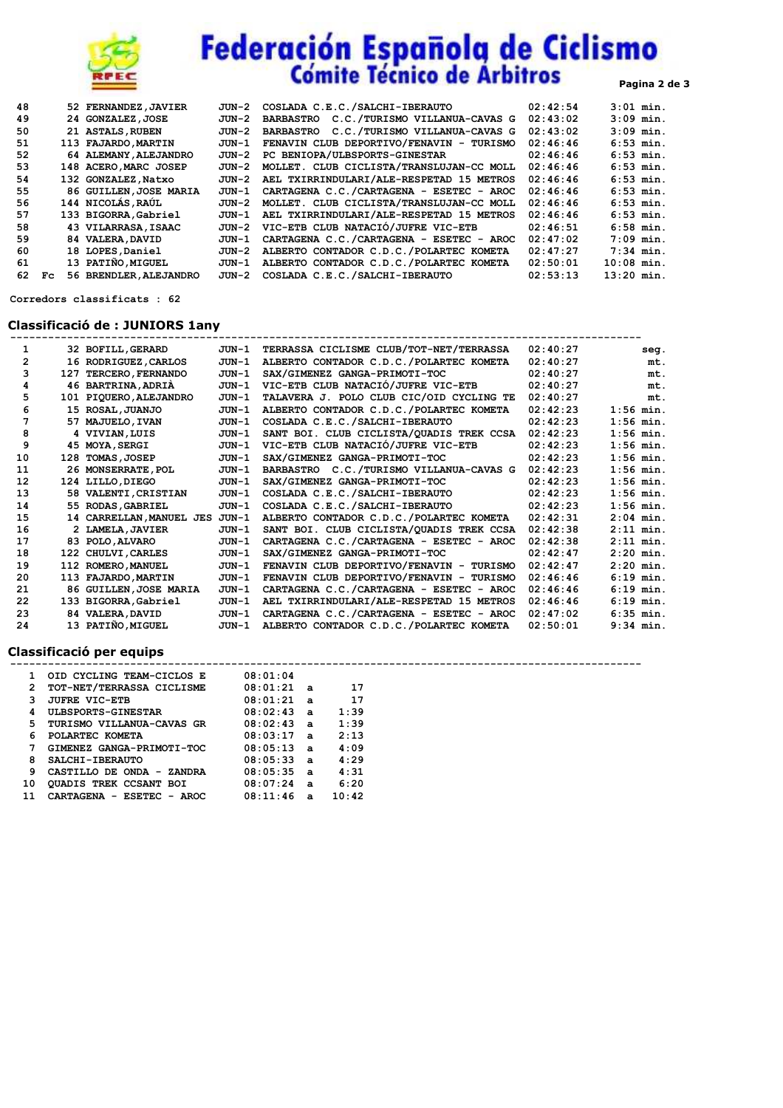

# **Federación Española de Ciclismo**<br>Cómite Técnico de Arbitros

| 48 |     | 52 FERNANDEZ, JAVIER   | JUN-2 | COSLADA C.E.C./SALCHI-IBERAUTO                    | 02:42:54 | $3:01$ min.  |
|----|-----|------------------------|-------|---------------------------------------------------|----------|--------------|
| 49 |     | 24 GONZALEZ, JOSE      | JUN-2 | C.C./TURISMO VILLANUA-CAVAS G<br><b>BARBASTRO</b> | 02:43:02 | $3:09$ min.  |
| 50 |     | 21 ASTALS, RUBEN       | JUN-2 | C.C./TURISMO VILLANUA-CAVAS G<br><b>BARBASTRO</b> | 02:43:02 | $3:09$ min.  |
| 51 |     | 113 FAJARDO, MARTIN    | JUN-1 | FENAVIN CLUB DEPORTIVO/FENAVIN - TURISMO          | 02:46:46 | $6:53$ min.  |
| 52 |     | 64 ALEMANY, ALEJANDRO  | JUN-2 | PC BENIOPA/ULBSPORTS-GINESTAR                     | 02:46:46 | $6:53$ min.  |
| 53 |     | 148 ACERO MARC JOSEP   | JUN-2 | MOLLET. CLUB CICLISTA/TRANSLUJAN-CC MOLL          | 02:46:46 | $6:53$ min.  |
| 54 |     | 132 GONZALEZ, Natxo    | JUN-2 | AEL TXIRRINDULARI/ALE-RESPETAD 15 METROS          | 02:46:46 | $6:53$ min.  |
| 55 |     | 86 GUILLEN, JOSE MARIA | JUN-1 | CARTAGENA C.C./CARTAGENA - ESETEC - AROC          | 02:46:46 | $6:53$ min.  |
| 56 |     | 144 NICOLÁS RAÚL       | JUN-2 | MOLLET. CLUB CICLISTA/TRANSLUJAN-CC MOLL          | 02:46:46 | $6:53$ min.  |
| 57 |     | 133 BIGORRA, Gabriel   | JUN-1 | AEL TXIRRINDULARI/ALE-RESPETAD 15 METROS          | 02:46:46 | $6:53$ min.  |
| 58 |     | 43 VILARRASA, ISAAC    | JUN-2 | VIC-ETB CLUB NATACIÓ/JUFRE VIC-ETB                | 02:46:51 | $6:58$ min.  |
| 59 |     | 84 VALERA, DAVID       | JUN-1 | CARTAGENA C.C./CARTAGENA - ESETEC - AROC          | 02:47:02 | $7:09$ min.  |
| 60 |     | 18 LOPES, Daniel       | JUN-2 | ALBERTO CONTADOR C.D.C./POLARTEC KOMETA           | 02:47:27 | $7:34$ min.  |
| 61 |     | 13 PATIÑO.MIGUEL       | JUN-1 | ALBERTO CONTADOR C.D.C./POLARTEC KOMETA           | 02:50:01 | $10:08$ min. |
| 62 | Fc. | 56 BRENDLER, ALEJANDRO | JUN-2 | COSLADA C.E.C./SALCHI-IBERAUTO                    | 02:53:13 | $13:20$ min. |

 **Corredors classificats : 62**

## **Classificació de : JUNIORS 1any**

| 1              | 32 BOFILL, GERARD        | JUN-1   | TERRASSA CICLISME CLUB/TOT-NET/TERRASSA  | 02:40:27 | seq.        |
|----------------|--------------------------|---------|------------------------------------------|----------|-------------|
| $\overline{2}$ | 16 RODRIGUEZ, CARLOS     | $JUN-1$ | ALBERTO CONTADOR C.D.C./POLARTEC KOMETA  | 02:40:27 | mt.         |
| 3              | 127 TERCERO, FERNANDO    | $JUN-1$ | SAX/GIMENEZ GANGA-PRIMOTI-TOC            | 02:40:27 | mt.         |
| 4              | 46 BARTRINA, ADRIA       | JUN-1   | VIC-ETB CLUB NATACIÓ/JUFRE VIC-ETB       | 02:40:27 | mt.         |
| 5              | 101 PIQUERO, ALEJANDRO   | $JUN-1$ | TALAVERA J. POLO CLUB CIC/OID CYCLING TE | 02:40:27 | mt.         |
| 6              | 15 ROSAL, JUANJO         | $JUN-1$ | ALBERTO CONTADOR C.D.C./POLARTEC KOMETA  | 02:42:23 | $1:56$ min. |
| 7              | 57 MAJUELO, IVAN         | $JUN-1$ | COSLADA C.E.C./SALCHI-IBERAUTO           | 02:42:23 | $1:56$ min. |
| 8              | 4 VIVIAN, LUIS           | $JUN-1$ | SANT BOI. CLUB CICLISTA/QUADIS TREK CCSA | 02:42:23 | $1:56$ min. |
| 9              | 45 MOYA, SERGI           | $JUN-1$ | VIC-ETB CLUB NATACIÓ/JUFRE VIC-ETB       | 02:42:23 | $1:56$ min. |
| 10             | 128 TOMAS, JOSEP         | JUN-1   | SAX/GIMENEZ GANGA-PRIMOTI-TOC            | 02:42:23 | $1:56$ min. |
| 11             | 26 MONSERRATE, POL       | $JUN-1$ | BARBASTRO C.C./TURISMO VILLANUA-CAVAS G  | 02:42:23 | $1:56$ min. |
| 12             | 124 LILLO, DIEGO         | $JUN-1$ | SAX/GIMENEZ GANGA-PRIMOTI-TOC            | 02:42:23 | $1:56$ min. |
| 13             | 58 VALENTI, CRISTIAN     | JUN-1   | COSLADA C.E.C./SALCHI-IBERAUTO           | 02:42:23 | $1:56$ min. |
| 14             | 55 RODAS, GABRIEL        | JUN-1   | COSLADA C.E.C./SALCHI-IBERAUTO           | 02:42:23 | $1:56$ min. |
| 15             | 14 CARRELLAN, MANUEL JES | JUN-1   | ALBERTO CONTADOR C.D.C./POLARTEC KOMETA  | 02:42:31 | $2:04$ min. |
| 16             | 2 LAMELA, JAVIER         | JUN-1   | SANT BOI. CLUB CICLISTA/QUADIS TREK CCSA | 02:42:38 | $2:11$ min. |
| 17             | 83 POLO, ALVARO          | JUN-1   | CARTAGENA C.C./CARTAGENA - ESETEC - AROC | 02:42:38 | $2:11$ min. |
| 18             | 122 CHULVI, CARLES       | $JUN-1$ | SAX/GIMENEZ GANGA-PRIMOTI-TOC            | 02:42:47 | $2:20$ min. |
| 19             | 112 ROMERO, MANUEL       | JUN-1   | FENAVIN CLUB DEPORTIVO/FENAVIN - TURISMO | 02:42:47 | $2:20$ min. |
| 20             | 113 FAJARDO, MARTIN      | $JUN-1$ | FENAVIN CLUB DEPORTIVO/FENAVIN - TURISMO | 02:46:46 | $6:19$ min. |
| 21             | 86 GUILLEN, JOSE MARIA   | $JUN-1$ | CARTAGENA C.C./CARTAGENA - ESETEC - AROC | 02:46:46 | $6:19$ min. |
| 22             | 133 BIGORRA, Gabriel     | $JUN-1$ | AEL TXIRRINDULARI/ALE-RESPETAD 15 METROS | 02:46:46 | $6:19$ min. |
| 23             | 84 VALERA, DAVID         | $JUN-1$ | CARTAGENA C.C./CARTAGENA - ESETEC - AROC | 02:47:02 | $6:35$ min. |
| 24             | 13 PATIÑO, MIGUEL        | $JUN-1$ | ALBERTO CONTADOR C.D.C./POLARTEC KOMETA  | 02:50:01 | $9:34$ min. |
|                |                          |         |                                          |          |             |

## **Classificació per equips**

 **----------------------------------------------------------------------------------------------------**

|    | OID CYCLING TEAM-CICLOS E | 08:01:04 |                |       |
|----|---------------------------|----------|----------------|-------|
| 2  | TOT-NET/TERRASSA CICLISME | 08:01:21 | a              | 17    |
| 3  | <b>JUFRE VIC-ETB</b>      | 08:01:21 | $\overline{a}$ | 17    |
| 4  | <b>ULBSPORTS-GINESTAR</b> | 08:02:43 | $\mathbf{a}$   | 1:39  |
| 5  | TURISMO VILLANUA-CAVAS GR | 08:02:43 | $\mathbf{a}$   | 1:39  |
| 6  | POLARTEC KOMETA           | 08:03:17 | a              | 2:13  |
| 7  | GIMENEZ GANGA-PRIMOTI-TOC | 08:05:13 | $\mathbf{a}$   | 4:09  |
| 8  | SALCHI-IBERAUTO           | 08:05:33 | $\mathbf{a}$   | 4:29  |
| 9  | CASTILLO DE ONDA - ZANDRA | 08:05:35 | $\mathbf{a}$   | 4:31  |
| 10 | QUADIS TREK CCSANT BOI    | 08:07:24 | $\mathbf{a}$   | 6:20  |
| 11 | CARTAGENA - ESETEC - AROC | 08:11:46 | а              | 10:42 |